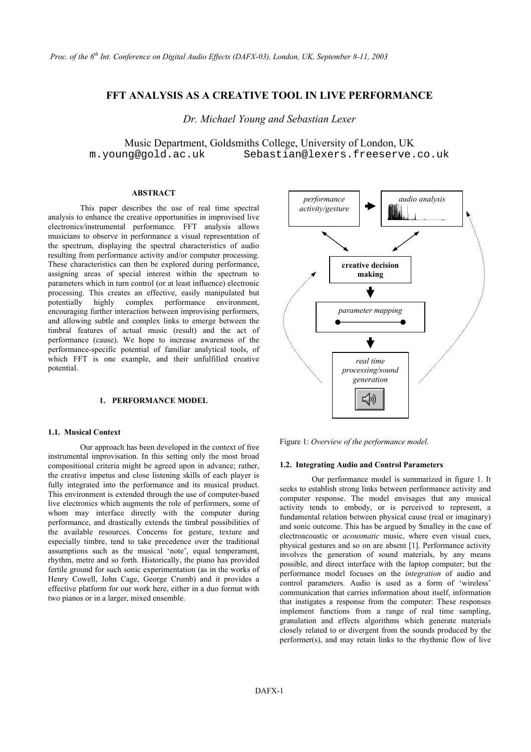# **FFT ANALYSIS AS A CREATIVE TOOL IN LIVE PERFORMANCE**

*Dr. Michael Young and Sebastian Lexer* 

Music Department, Goldsmiths College, University of London, UK m.young@gold.ac.uk Sebastian@lexers.freeserve.co.uk

## **ABSTRACT**

This paper describes the use of real time spectral analysis to enhance the creative opportunities in improvised live electronics/instrumental performance. FFT analysis allows musicians to observe in performance a visual representation of the spectrum, displaying the spectral characteristics of audio resulting from performance activity and/or computer processing. These characteristics can then be explored during performance, assigning areas of special interest within the spectrum to parameters which in turn control (or at least influence) electronic processing. This creates an effective, easily manipulated but potentially highly complex performance environment, encouraging further interaction between improvising performers, and allowing subtle and complex links to emerge between the timbral features of actual music (result) and the act of performance (cause). We hope to increase awareness of the performance-specific potential of familiar analytical tools, of which FFT is one example, and their unfulfilled creative potential.

#### **1. PERFORMANCE MODEL**

## **1.1. Musical Context**

Figure 1: *Overview of the performance model.* Our approach has been developed in the context of free instrumental improvisation. In this setting only the most broad compositional criteria might be agreed upon in advance; rather, the creative impetus and close listening skills of each player is fully integrated into the performance and its musical product. This environment is extended through the use of computer-based live electronics which augments the role of performers, some of whom may interface directly with the computer during performance, and drastically extends the timbral possibilities of the available resources. Concerns for gesture, texture and especially timbre, tend to take precedence over the traditional assumptions such as the musical 'note', equal temperament, rhythm, metre and so forth. Historically, the piano has provided fertile ground for such sonic experimentation (as in the works of Henry Cowell, John Cage, George Crumb) and it provides a effective platform for our work here, either in a duo format with two pianos or in a larger, mixed ensemble.



### **1.2. Integrating Audio and Control Parameters**

Our performance model is summarized in figure 1. It seeks to establish strong links between performance activity and computer response. The model envisages that any musical activity tends to embody, or is perceived to represent, a fundamental relation between physical cause (real or imaginary) and sonic outcome. This has be argued by Smalley in the case of electroacoustic or *acousmatic* music, where even visual cues, physical gestures and so on are absent [1]. Performance activity involves the generation of sound materials, by any means possible, and direct interface with the laptop computer; but the performance model focuses on the *integration* of audio and control parameters. Audio is used as a form of 'wireless' communication that carries information about itself, information that instigates a response from the computer: These responses implement functions from a range of real time sampling, granulation and effects algorithms which generate materials closely related to or divergent from the sounds produced by the performer(s), and may retain links to the rhythmic flow of live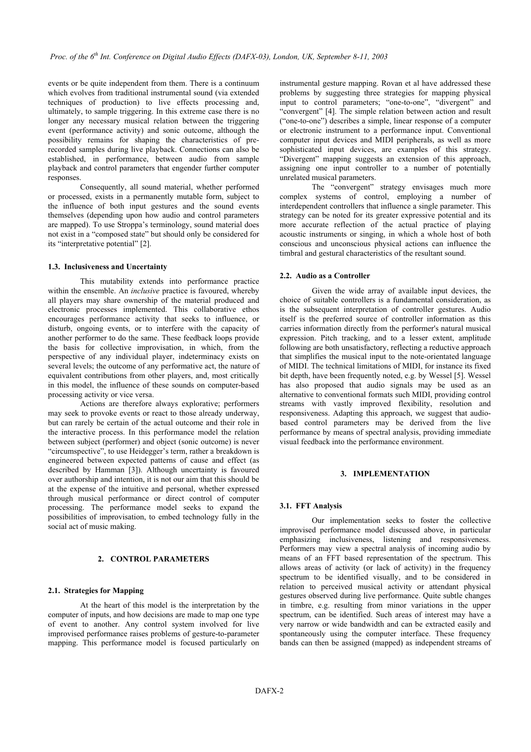events or be quite independent from them. There is a continuum which evolves from traditional instrumental sound (via extended techniques of production) to live effects processing and, ultimately, to sample triggering. In this extreme case there is no longer any necessary musical relation between the triggering event (performance activity) and sonic outcome, although the possibility remains for shaping the characteristics of prerecorded samples during live playback. Connections can also be established, in performance, between audio from sample playback and control parameters that engender further computer responses.

Consequently, all sound material, whether performed or processed, exists in a permanently mutable form, subject to the influence of both input gestures and the sound events themselves (depending upon how audio and control parameters are mapped). To use Stroppa's terminology, sound material does not exist in a "composed state" but should only be considered for its "interpretative potential" [2].

#### **1.3. Inclusiveness and Uncertainty**

This mutability extends into performance practice within the ensemble. An *inclusive* practice is favoured, whereby all players may share ownership of the material produced and electronic processes implemented. This collaborative ethos encourages performance activity that seeks to influence, or disturb, ongoing events, or to interfere with the capacity of another performer to do the same. These feedback loops provide the basis for collective improvisation, in which, from the perspective of any individual player, indeterminacy exists on several levels; the outcome of any performative act, the nature of equivalent contributions from other players, and, most critically in this model, the influence of these sounds on computer-based processing activity or vice versa.

Actions are therefore always explorative; performers may seek to provoke events or react to those already underway, but can rarely be certain of the actual outcome and their role in the interactive process. In this performance model the relation between subject (performer) and object (sonic outcome) is never "circumspective", to use Heidegger's term, rather a breakdown is engineered between expected patterns of cause and effect (as described by Hamman [3]). Although uncertainty is favoured over authorship and intention, it is not our aim that this should be at the expense of the intuitive and personal, whether expressed through musical performance or direct control of computer processing. The performance model seeks to expand the possibilities of improvisation, to embed technology fully in the social act of music making.

### **2. CONTROL PARAMETERS**

#### **2.1. Strategies for Mapping**

At the heart of this model is the interpretation by the computer of inputs, and how decisions are made to map one type of event to another. Any control system involved for live improvised performance raises problems of gesture-to-parameter mapping. This performance model is focused particularly on

instrumental gesture mapping. Rovan et al have addressed these problems by suggesting three strategies for mapping physical input to control parameters; "one-to-one", "divergent" and "convergent" [4]. The simple relation between action and result ("one-to-one") describes a simple, linear response of a computer or electronic instrument to a performance input. Conventional computer input devices and MIDI peripherals, as well as more sophisticated input devices, are examples of this strategy. "Divergent" mapping suggests an extension of this approach, assigning one input controller to a number of potentially unrelated musical parameters.

The "convergent" strategy envisages much more complex systems of control, employing a number of interdependent controllers that influence a single parameter. This strategy can be noted for its greater expressive potential and its more accurate reflection of the actual practice of playing acoustic instruments or singing, in which a whole host of both conscious and unconscious physical actions can influence the timbral and gestural characteristics of the resultant sound.

#### **2.2. Audio as a Controller**

Given the wide array of available input devices, the choice of suitable controllers is a fundamental consideration, as is the subsequent interpretation of controller gestures. Audio itself is the preferred source of controller information as this carries information directly from the performer's natural musical expression. Pitch tracking, and to a lesser extent, amplitude following are both unsatisfactory, reflecting a reductive approach that simplifies the musical input to the note-orientated language of MIDI. The technical limitations of MIDI, for instance its fixed bit depth, have been frequently noted, e.g. by Wessel [5]. Wessel has also proposed that audio signals may be used as an alternative to conventional formats such MIDI, providing control streams with vastly improved flexibility, resolution and responsiveness. Adapting this approach, we suggest that audiobased control parameters may be derived from the live performance by means of spectral analysis, providing immediate visual feedback into the performance environment.

### **3. IMPLEMENTATION**

#### **3.1. FFT Analysis**

Our implementation seeks to foster the collective improvised performance model discussed above, in particular emphasizing inclusiveness, listening and responsiveness. Performers may view a spectral analysis of incoming audio by means of an FFT based representation of the spectrum. This allows areas of activity (or lack of activity) in the frequency spectrum to be identified visually, and to be considered in relation to perceived musical activity or attendant physical gestures observed during live performance. Quite subtle changes in timbre, e.g. resulting from minor variations in the upper spectrum, can be identified. Such areas of interest may have a very narrow or wide bandwidth and can be extracted easily and spontaneously using the computer interface. These frequency bands can then be assigned (mapped) as independent streams of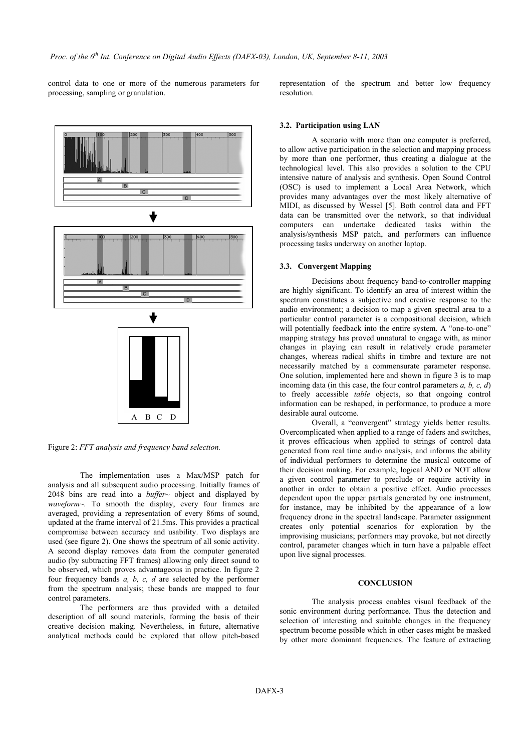control data to one or more of the numerous parameters for processing, sampling or granulation.



Figure 2: *FFT analysis and frequency band selection.*

The implementation uses a Max/MSP patch for analysis and all subsequent audio processing. Initially frames of 2048 bins are read into a *buffer~* object and displayed by *waveform~.* To smooth the display, every four frames are averaged, providing a representation of every 86ms of sound, updated at the frame interval of 21.5ms. This provides a practical compromise between accuracy and usability. Two displays are used (see figure 2). One shows the spectrum of all sonic activity. A second display removes data from the computer generated audio (by subtracting FFT frames) allowing only direct sound to be observed, which proves advantageous in practice. In figure 2 four frequency bands *a, b, c, d* are selected by the performer from the spectrum analysis; these bands are mapped to four control parameters.

The performers are thus provided with a detailed description of all sound materials, forming the basis of their creative decision making. Nevertheless, in future, alternative analytical methods could be explored that allow pitch-based

representation of the spectrum and better low frequency resolution.

#### **3.2. Participation using LAN**

A scenario with more than one computer is preferred, to allow active participation in the selection and mapping process by more than one performer, thus creating a dialogue at the technological level. This also provides a solution to the CPU intensive nature of analysis and synthesis. Open Sound Control (OSC) is used to implement a Local Area Network, which provides many advantages over the most likely alternative of MIDI, as discussed by Wessel [5]. Both control data and FFT data can be transmitted over the network, so that individual computers can undertake dedicated tasks within the analysis/synthesis MSP patch, and performers can influence processing tasks underway on another laptop.

#### **3.3. Convergent Mapping**

Decisions about frequency band-to-controller mapping are highly significant. To identify an area of interest within the spectrum constitutes a subjective and creative response to the audio environment; a decision to map a given spectral area to a particular control parameter is a compositional decision, which will potentially feedback into the entire system. A "one-to-one" mapping strategy has proved unnatural to engage with, as minor changes in playing can result in relatively crude parameter changes, whereas radical shifts in timbre and texture are not necessarily matched by a commensurate parameter response. One solution, implemented here and shown in figure 3 is to map incoming data (in this case, the four control parameters *a, b, c, d*) to freely accessible *table* objects, so that ongoing control information can be reshaped, in performance, to produce a more desirable aural outcome.

Overall, a "convergent" strategy yields better results. Overcomplicated when applied to a range of faders and switches, it proves efficacious when applied to strings of control data generated from real time audio analysis, and informs the ability of individual performers to determine the musical outcome of their decision making. For example, logical AND or NOT allow a given control parameter to preclude or require activity in another in order to obtain a positive effect. Audio processes dependent upon the upper partials generated by one instrument, for instance, may be inhibited by the appearance of a low frequency drone in the spectral landscape. Parameter assignment creates only potential scenarios for exploration by the improvising musicians; performers may provoke, but not directly control, parameter changes which in turn have a palpable effect upon live signal processes.

#### **CONCLUSION**

The analysis process enables visual feedback of the sonic environment during performance. Thus the detection and selection of interesting and suitable changes in the frequency spectrum become possible which in other cases might be masked by other more dominant frequencies. The feature of extracting